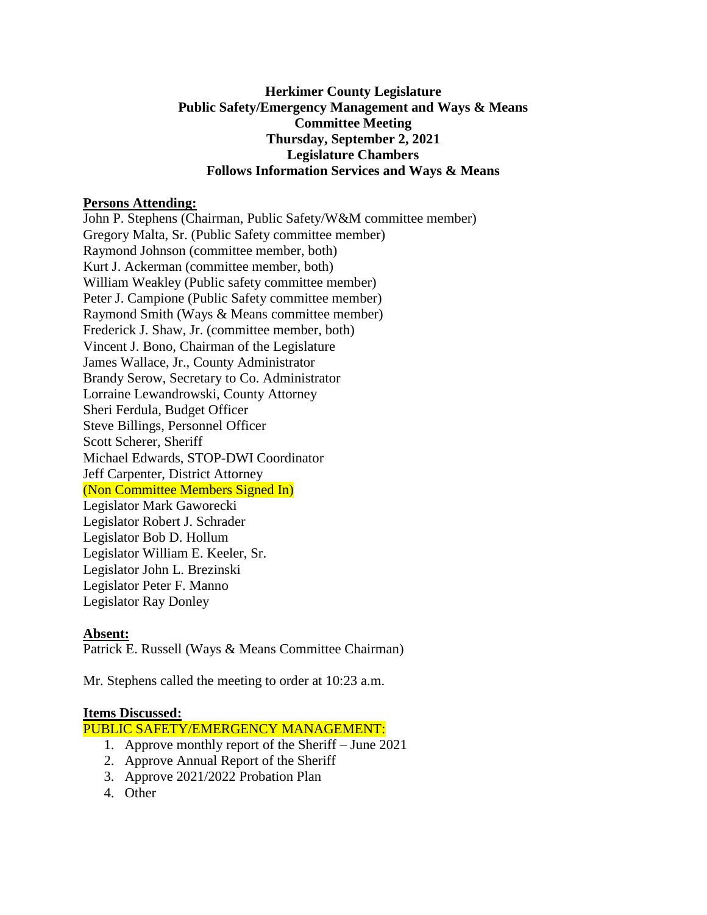# **Herkimer County Legislature Public Safety/Emergency Management and Ways & Means Committee Meeting Thursday, September 2, 2021 Legislature Chambers Follows Information Services and Ways & Means**

### **Persons Attending:**

John P. Stephens (Chairman, Public Safety/W&M committee member) Gregory Malta, Sr. (Public Safety committee member) Raymond Johnson (committee member, both) Kurt J. Ackerman (committee member, both) William Weakley (Public safety committee member) Peter J. Campione (Public Safety committee member) Raymond Smith (Ways & Means committee member) Frederick J. Shaw, Jr. (committee member, both) Vincent J. Bono, Chairman of the Legislature James Wallace, Jr., County Administrator Brandy Serow, Secretary to Co. Administrator Lorraine Lewandrowski, County Attorney Sheri Ferdula, Budget Officer Steve Billings, Personnel Officer Scott Scherer, Sheriff Michael Edwards, STOP-DWI Coordinator Jeff Carpenter, District Attorney (Non Committee Members Signed In) Legislator Mark Gaworecki Legislator Robert J. Schrader Legislator Bob D. Hollum Legislator William E. Keeler, Sr. Legislator John L. Brezinski Legislator Peter F. Manno Legislator Ray Donley

### **Absent:**

Patrick E. Russell (Ways & Means Committee Chairman)

Mr. Stephens called the meeting to order at 10:23 a.m.

#### **Items Discussed:**

PUBLIC SAFETY/EMERGENCY MANAGEMENT:

- 1. Approve monthly report of the Sheriff June 2021
- 2. Approve Annual Report of the Sheriff
- 3. Approve 2021/2022 Probation Plan
- 4. Other